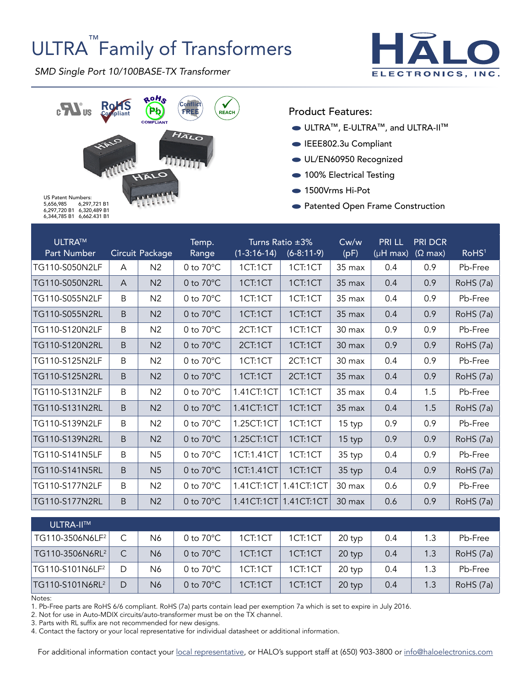# ULTRA<sup>™</sup>Family of Transformers

*SMD Single Port 10/100BASE-TX Transformer*





Product Features:

- ULTRA™, E-ULTRA™, and ULTRA-II™
- EEE802.3u Compliant
- UL/EN60950 Recognized
- 100% Electrical Testing
- 1500Vrms Hi-Pot
- Patented Open Frame Construction

5,656,985 6,297,721 B1 6,297,720 B1 6,320,489 B1 6,344,785 B1 6,662.431 B1

| ULTRA™<br>Part Number |    | Circuit Package | Temp.<br>Range      | $(1-3:16-14)$ | Turns Ratio $\pm 3\%$<br>$(6-8:11-9)$ | Cw/w<br>(pF)     | <b>PRILL</b><br>$(\mu H \overline{max})$ | <b>PRI DCR</b><br>$(\Omega \text{ max})$ | RoHS <sup>1</sup> |
|-----------------------|----|-----------------|---------------------|---------------|---------------------------------------|------------------|------------------------------------------|------------------------------------------|-------------------|
| TG110-S050N2LF        | A  | N <sub>2</sub>  | 0 to $70^{\circ}$ C | 1CT:1CT       | 1CT:1CT                               | $35 \text{ max}$ | 0.4                                      | 0.9                                      | Pb-Free           |
| TG110-S050N2RL        | A  | N <sub>2</sub>  | 0 to $70^{\circ}$ C | 1CT:1CT       | 1CT:1CT                               | 35 max           | 0.4                                      | 0.9                                      | RoHS (7a)         |
| TG110-S055N2LF        | B  | N <sub>2</sub>  | 0 to $70^{\circ}$ C | 1CT:1CT       | 1CT:1CT                               | 35 max           | 0.4                                      | 0.9                                      | Pb-Free           |
| TG110-S055N2RL        | B  | N <sub>2</sub>  | 0 to $70^{\circ}$ C | 1CT:1CT       | 1CT:1CT                               | $35 \text{ max}$ | 0.4                                      | 0.9                                      | RoHS (7a)         |
| TG110-S120N2LF        | B  | N <sub>2</sub>  | 0 to $70^{\circ}$ C | 2CT:1CT       | 1CT:1CT                               | $30 \text{ max}$ | 0.9                                      | 0.9                                      | Pb-Free           |
| TG110-S120N2RL        | B. | N <sub>2</sub>  | 0 to $70^{\circ}$ C | 2CT:1CT       | 1CT:1CT                               | 30 max           | 0.9                                      | 0.9                                      | RoHS (7a)         |
| TG110-S125N2LF        | B  | N <sub>2</sub>  | 0 to $70^{\circ}$ C | 1CT:1CT       | 2CT:1CT                               | 30 max           | 0.4                                      | 0.9                                      | Pb-Free           |
| TG110-S125N2RL        | B  | N <sub>2</sub>  | 0 to $70^{\circ}$ C | 1CT:1CT       | 2CT:1CT                               | 35 max           | 0.4                                      | 0.9                                      | RoHS (7a)         |
| TG110-S131N2LF        | B  | N <sub>2</sub>  | 0 to $70^{\circ}$ C | 1.41CT:1CT    | 1CT:1CT                               | 35 max           | 0.4                                      | 1.5                                      | Pb-Free           |
| TG110-S131N2RL        | B  | N <sub>2</sub>  | 0 to $70^{\circ}$ C | 1.41CT:1CT    | 1CT:1CT                               | 35 max           | 0.4                                      | 1.5                                      | RoHS (7a)         |
| TG110-S139N2LF        | B  | N <sub>2</sub>  | 0 to $70^{\circ}$ C | 1.25CT:1CT    | 1CT:1CT                               | 15 typ           | 0.9                                      | 0.9                                      | Pb-Free           |
| TG110-S139N2RL        | B  | N <sub>2</sub>  | 0 to $70^{\circ}$ C | 1.25CT:1CT    | 1CT:1CT                               | 15 typ           | 0.9                                      | 0.9                                      | RoHS (7a)         |
| TG110-S141N5LF        | B  | N <sub>5</sub>  | 0 to $70^{\circ}$ C | 1CT:1.41CT    | 1CT:1CT                               | 35 typ           | 0.4                                      | 0.9                                      | Pb-Free           |
| TG110-S141N5RL        | B  | N <sub>5</sub>  | 0 to $70^{\circ}$ C | 1CT:1.41CT    | 1CT:1CT                               | 35 typ           | 0.4                                      | 0.9                                      | RoHS (7a)         |
| TG110-S177N2LF        | B  | N <sub>2</sub>  | 0 to $70^{\circ}$ C | 1.41CT:1CT    | 1.41CT:1CT                            | 30 max           | 0.6                                      | 0.9                                      | Pb-Free           |
| TG110-S177N2RL        | B  | N <sub>2</sub>  | 0 to $70^{\circ}$ C |               | 1.41CT:1CT 1.41CT:1CT                 | 30 max           | 0.6                                      | 0.9                                      | RoHS (7a)         |

| ULTRA-II™                   |   |                |                     |         |         |        |     |     |           |
|-----------------------------|---|----------------|---------------------|---------|---------|--------|-----|-----|-----------|
| TG110-3506N6LF <sup>2</sup> |   | N6             | 0 to $70^{\circ}$ C | 1CT:1CT | 1CT:1CT | 20 typ | 0.4 | 1.3 | Pb-Free   |
| TG110-3506N6RL <sup>2</sup> |   | N6             | 0 to $70^{\circ}$ C | 1CT:1CT | 1CT:1CT | 20 typ | 0.4 | 1.3 | RoHS (7a) |
| TG110-S101N6LF <sup>2</sup> | D | N6             | 0 to $70^{\circ}$ C | 1CT:1CT | 1CT:1CT | 20 typ | 0.4 | 1.3 | Pb-Free   |
| TG110-S101N6RL <sup>2</sup> | D | N <sub>6</sub> | 0 to $70^{\circ}$ C | 1CT:1CT | 1CT:1CT | 20 typ | 0.4 | 1.3 | RoHS (7a) |

Notes:

1. Pb-Free parts are RoHS 6/6 compliant. RoHS (7a) parts contain lead per exemption 7a which is set to expire in July 2016.

2. Not for use in Auto-MDIX circuits/auto-transformer must be on the TX channel.

3. Parts with RL suffix are not recommended for new designs.

4. Contact the factory or your local representative for individual datasheet or additional information.

For additional information contact your [local representative](http://www.haloelectronics.com/local.html), or HALO's support staff at (650) 903-3800 or [info@haloelectronics.com](mailto:info@haloelectronics.com)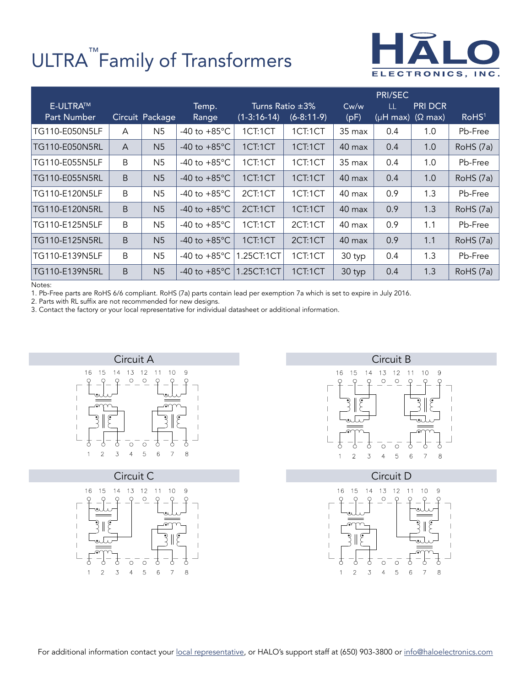## ULTRA<sup>™</sup>Family of Transformers



|                                       |             |                 |                          |               |                                       |                  | PRI/SEC                   |                |                   |
|---------------------------------------|-------------|-----------------|--------------------------|---------------|---------------------------------------|------------------|---------------------------|----------------|-------------------|
| <b>E-ULTRA™</b><br><b>Part Number</b> |             | Circuit Package | Temp.<br>Range           | $(1-3:16-14)$ | Turns Ratio $\pm 3\%$<br>$(6-8:11-9)$ | Cw/w<br>(pF)     | LL<br>(μH max) ( $Ω$ max) | <b>PRI DCR</b> | RoHS <sup>1</sup> |
| TG110-E050N5LF                        | A           | N5              | -40 to $+85^{\circ}$ C   | 1CT:1CT       | 1CT:1CT                               | $35 \text{ max}$ | 0.4                       | 1.0            | Pb-Free           |
| TG110-E050N5RL                        | A           | N <sub>5</sub>  | $-40$ to $+85^{\circ}$ C | 1CT:1CT       | 1CT:1CT                               | 40 max           | 0.4                       | 1.0            | RoHS (7a)         |
| TG110-E055N5LF                        | B           | N5              | -40 to $+85^{\circ}$ C   | 1CT:1CT       | 1CT:1CT                               | $35 \text{ max}$ | 0.4                       | 1.0            | Pb-Free           |
| TG110-E055N5RL                        | $\mathsf B$ | N <sub>5</sub>  | -40 to $+85^{\circ}$ C   | 1CT:1CT       | 1CT:1CT                               | 40 max           | 0.4                       | 1.0            | RoHS (7a)         |
| TG110-E120N5LF                        | B           | N <sub>5</sub>  | $-40$ to $+85^{\circ}$ C | 2CT:1CT       | 1CT:1CT                               | 40 max           | 0.9                       | 1.3            | Pb-Free           |
| TG110-E120N5RL                        | $\mathsf B$ | N <sub>5</sub>  | -40 to $+85^{\circ}$ C   | 2CT:1CT       | 1CT:1CT                               | 40 max           | 0.9                       | 1.3            | RoHS (7a)         |
| TG110-E125N5LF                        | B           | N <sub>5</sub>  | -40 to $+85^{\circ}$ C   | 1CT:1CT       | 2CT:1CT                               | 40 max           | 0.9                       | 1.1            | Pb-Free           |
| TG110-E125N5RL                        | $\mathsf B$ | N <sub>5</sub>  | -40 to $+85^{\circ}$ C   | 1CT:1CT       | 2CT:1CT                               | 40 max           | 0.9                       | 1.1            | RoHS (7a)         |
| TG110-E139N5LF                        | B           | N <sub>5</sub>  | -40 to $+85^{\circ}$ C   | 1.25CT:1CT    | 1CT:1CT                               | 30 typ           | 0.4                       | 1.3            | Pb-Free           |
| TG110-E139N5RL                        | B           | N <sub>5</sub>  | -40 to $+85^{\circ}$ C   | 1.25CT:1CT    | 1CT:1CT                               | 30 typ           | 0.4                       | 1.3            | RoHS (7a)         |

Notes:

1. Pb-Free parts are RoHS 6/6 compliant. RoHS (7a) parts contain lead per exemption 7a which is set to expire in July 2016.

2. Parts with RL suffix are not recommended for new designs.

3. Contact the factory or your local representative for individual datasheet or additional information.